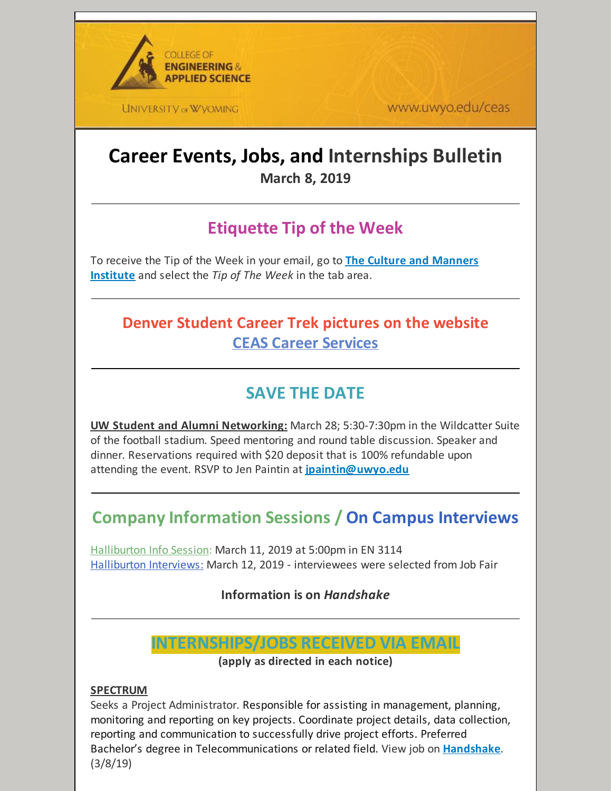

**UNIVERSITY OF WYOMING** 

www.uwyo.edu/ceas

# **Career Events, Jobs, and Internships Bulletin March 8, 2019**

# **Etiquette Tip of the Week**

To receive the Tip of the Week in your email, go to **The Culture and [Manners](http://cultureandmanners.com/) Institute** and select the *Tip of The Week* in the tab area.

## **Denver Student Career Trek pictures on the website CEAS Career [Services](http://www.uwyo.edu/ceas/resources/studentservices/jobs/index.html)**

## **SAVE THE DATE**

**UW Student and Alumni Networking:** March 28; 5:30-7:30pm in the Wildcatter Suite of the football stadium. Speed mentoring and round table discussion. Speaker and dinner. Reservations required with \$20 deposit that is 100% refundable upon attending the event. RSVP to Jen Paintin at **[jpaintin@uwyo.edu](mailto:jpaintin@uwyo.edu)**

## **Company Information Sessions / On Campus Interviews**

Halliburton Info Session: March 11, 2019 at 5:00pm in EN 3114 Halliburton Interviews: March 12, 2019 - interviewees were selected from Job Fair

**Information is on** *Handshake*

## **INTERNSHIPS/JOBS RECEIVED VIA EMAIL**

**(apply as directed in each notice)**

#### **SPECTRUM**

Seeks a Project Administrator. Responsible for assisting in management, planning, monitoring and reporting on key projects. Coordinate project details, data collection, reporting and communication to successfully drive project efforts. Preferred Bachelor's degree in Telecommunications or related field. View job on **[Handshake](https://wyoming.joinhandshake.com/jobs/2365359)**. (3/8/19)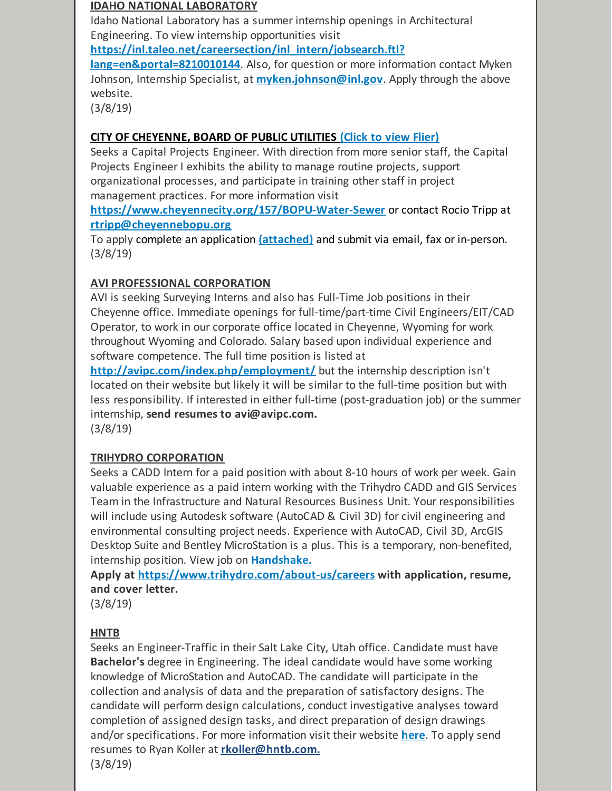#### **IDAHO NATIONAL LABORATORY**

Idaho National Laboratory has a summer internship openings in Architectural Engineering. To view internship opportunities visit

**[https://inl.taleo.net/careersection/inl\\_intern/jobsearch.ftl?](https://inl.taleo.net/careersection/inl_intern/jobsearch.ftl?lang=en&portal=8210010144)**

**lang=en&portal=8210010144**. Also, for question or more information contact Myken Johnson, Internship Specialist, at **[myken.johnson@inl.gov](mailto:myken.johnson@inl.gov)**. Apply through the above website.

(3/8/19)

### **CITY OF [CHEYENNE,](https://files.constantcontact.com/b2624f04701/288c06da-d397-4495-8954-1bf99d19dfd3.pdf) BOARD OF PUBLIC [UTILITIES](https://files.constantcontact.com/b2624f04701/288c06da-d397-4495-8954-1bf99d19dfd3.pdf) [\(Click](https://files.constantcontact.com/b2624f04701/288c06da-d397-4495-8954-1bf99d19dfd3.pdf) to view Flier)**

Seeks a Capital Projects Engineer. With direction from more senior staff, the Capital Projects Engineer I exhibits the ability to manage routine projects, support organizational processes, and participate in training other staff in project management practices. For more information visit

**<https://www.cheyennecity.org/157/BOPU-Water-Sewer>** or contact Rocio Tripp at **[rtripp@cheyennebopu.org](mailto:rtripp@cheyennebopu.org)**

To apply complete an application **[\(attached\)](https://files.constantcontact.com/b2624f04701/3552df78-ccb4-4fd1-9d8f-d2db4e91a7ba.pdf)** and submit via email, fax or in-person. (3/8/19)

### **AVI PROFESSIONAL CORPORATION**

AVI is seeking Surveying Interns and also has Full-Time Job positions in their Cheyenne office. Immediate openings for full-time/part-time Civil Engineers/EIT/CAD Operator, to work in our corporate office located in Cheyenne, Wyoming for work throughout Wyoming and Colorado. Salary based upon individual experience and software competence. The full time position is listed at

**<http://avipc.com/index.php/employment/>** but the internship description isn't located on their website but likely it will be similar to the full-time position but with less responsibility. If interested in either full-time (post-graduation job) or the summer internship, **send resumes to avi@avipc.com.**

(3/8/19)

## **TRIHYDRO CORPORATION**

Seeks a CADD Intern for a paid position with about 8-10 hours of work per week. Gain valuable experience as a paid intern working with the Trihydro CADD and GIS Services Team in the Infrastructure and Natural Resources Business Unit. Your responsibilities will include using Autodesk software (AutoCAD & Civil 3D) for civil engineering and environmental consulting project needs. Experience with AutoCAD, Civil 3D, ArcGIS Desktop Suite and Bentley MicroStation is a plus. This is a temporary, non-benefited, internship position. View job on **[Handshake.](https://app.joinhandshake.com/jobs/2506080)**

**Apply at <https://www.trihydro.com/about-us/careers> with application, resume, and cover letter.**

(3/8/19)

#### **HNTB**

Seeks an Engineer-Traffic in their Salt Lake City, Utah office. Candidate must have **Bachelor's** degree in Engineering. The ideal candidate would have some working knowledge of MicroStation and AutoCAD. The candidate will participate in the collection and analysis of data and the preparation of satisfactory designs. The candidate will perform design calculations, conduct investigative analyses toward completion of assigned design tasks, and direct preparation of design drawings and/or specifications. For more information visit their website **[here](https://careers-hntb.icims.com/jobs/19648/engineer--traffic/job?utm_campaign=google_jobs_apply&utm_source=google_jobs_apply&utm_medium=organic&mobile=false&width=1037&height=500&bga=true&needsRedirect=false&jan1offset=-420&jun1offset=-360)**. To apply send resumes to Ryan Koller at **[rkoller@hntb.com.](mailto:rkoller@hntb.com)** (3/8/19)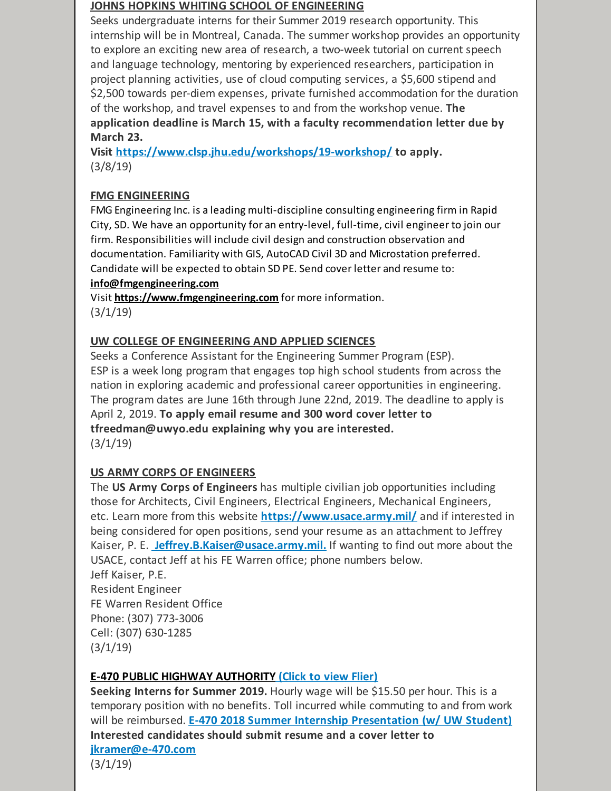#### **JOHNS HOPKINS WHITING SCHOOL OF ENGINEERING**

Seeks undergraduate interns for their Summer 2019 research opportunity. This internship will be in Montreal, Canada. The summer workshop provides an opportunity to explore an exciting new area of research, a two-week tutorial on current speech and language technology, mentoring by experienced researchers, participation in project planning activities, use of cloud computing services, a \$5,600 stipend and \$2,500 towards per-diem expenses, private furnished accommodation for the duration of the workshop, and travel expenses to and from the workshop venue. **The application deadline is March 15, with a faculty recommendation letter due by March 23.**

**Visit <https://www.clsp.jhu.edu/workshops/19-workshop/> to apply.** (3/8/19)

### **FMG ENGINEERING**

FMG Engineering Inc. is a leading multi-discipline consulting engineering firm in Rapid City, SD. We have an opportunity for an entry-level, full-time, civil engineer to join our firm. Responsibilities will include civil design and construction observation and documentation. Familiarity with GIS, AutoCAD Civil 3D and Microstation preferred. Candidate will be expected to obtain SD PE. Send cover letter and resume to: **[info@fmgengineering.com](mailto:info@fmgengineering.com)**

[Visit](https://www.fmgengineering.com) **<https://www.fmgengineering.com>** for more [information.](https://www.fmgengineering.com) (3/1/19)

#### **UW COLLEGE OF ENGINEERING AND APPLIED SCIENCES**

Seeks a Conference Assistant for the Engineering Summer Program (ESP). ESP is a week long program that engages top high school students from across the nation in exploring academic and professional career opportunities in engineering. The program dates are June 16th through June 22nd, 2019. The deadline to apply is April 2, 2019. **To apply email resume and 300 word cover letter to tfreedman@uwyo.edu explaining why you are interested.**  $(3/1/19)$ 

#### **US ARMY CORPS OF ENGINEERS**

The **US Army Corps of Engineers** has multiple civilian job opportunities including those for Architects, Civil Engineers, Electrical Engineers, Mechanical Engineers, etc. Learn more from this website **<https://www.usace.army.mil/>** and if interested in being considered for open positions, send your resume as an attachment to Jeffrey Kaiser, P. E. **[Jeffrey.B.Kaiser@usace.army.mil.](mailto:Jeffrey.B.Kaiser@usace.army.mil)** If wanting to find out more about the USACE, contact Jeff at his FE Warren office; phone numbers below. Jeff Kaiser, P.E.

Resident Engineer FE Warren Resident Office Phone: (307) 773-3006 Cell: (307) 630-1285  $(3/1/19)$ 

#### **E-470 PUBLIC HIGHWAY [AUTHORITY](https://files.constantcontact.com/b2624f04701/d8ffa485-930a-4ae4-b3f2-3f15ead3ca97.pdf) [\(Click](https://files.constantcontact.com/b2624f04701/d8ffa485-930a-4ae4-b3f2-3f15ead3ca97.pdf) to view Flier)**

**Seeking Interns for Summer 2019.** Hourly wage will be \$15.50 per hour. This is a temporary position with no benefits. Toll incurred while commuting to and from work will be reimbursed. **E-470 2018 Summer Internship [Presentation](https://www.youtube.com/watch?v=69y2FYAXa0M&feature=youtu.be) (w/ UW Student) Interested candidates should submit resume and a cover letter to [jkramer@e-470.com](mailto:jkramer@e-470.com)**

(3/1/19)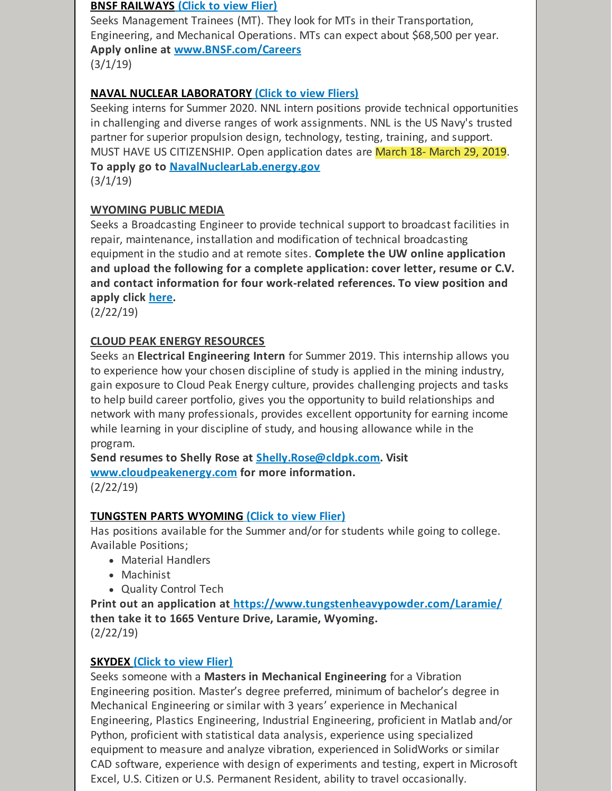#### **BNSF [RAILWAYS](https://files.constantcontact.com/b2624f04701/1c0af664-0eec-4323-8060-377a18974033.pdf) [\(Click](https://files.constantcontact.com/b2624f04701/1c0af664-0eec-4323-8060-377a18974033.pdf) to view Flier)**

Seeks Management Trainees (MT). They look for MTs in their Transportation, Engineering, and Mechanical Operations. MTs can expect about \$68,500 per year. **Apply online at [www.BNSF.com/Careers](http://www.bnsf.com/Careers)**  $(3/1/19)$ 

### **NAVAL NUCLEAR [LABORATORY](https://files.constantcontact.com/b2624f04701/16d9d4d4-3fea-4e92-b58d-597cf144e00e.pdf) (Click to view [Fliers\)](https://files.constantcontact.com/b2624f04701/16d9d4d4-3fea-4e92-b58d-597cf144e00e.pdf)**

Seeking interns for Summer 2020. NNL intern positions provide technical opportunities in challenging and diverse ranges of work assignments. NNL is the US Navy's trusted partner for superior propulsion design, technology, testing, training, and support. MUST HAVE US CITIZENSHIP. Open application dates are March 18- March 29, 2019. **To apply go to [NavalNuclearLab.energy.gov](http://navalnuclearlab.energy.gov)**

 $(3/1/19)$ 

#### **WYOMING PUBLIC MEDIA**

Seeks a Broadcasting Engineer to provide technical support to broadcast facilities in repair, maintenance, installation and modification of technical broadcasting equipment in the studio and at remote sites. **Complete the UW online application and upload the following for a complete application: cover letter, resume or C.V. and contact information for four work-related references. To view position and apply click [here](https://uwyo.taleo.net/careersection/00_ex/jobdetail.ftl?job=19000216&lang=en#.XE8yvOiKWuA.mailto).**

(2/22/19)

#### **CLOUD PEAK ENERGY RESOURCES**

Seeks an **Electrical Engineering Intern** for Summer 2019. This internship allows you to experience how your chosen discipline of study is applied in the mining industry, gain exposure to Cloud Peak Energy culture, provides challenging projects and tasks to help build career portfolio, gives you the opportunity to build relationships and network with many professionals, provides excellent opportunity for earning income while learning in your discipline of study, and housing allowance while in the program.

**Send resumes to Shelly Rose at [Shelly.Rose@cldpk.com](mailto:Shelly.Rose@cldpk.com). Visit [www.cloudpeakenergy.com](http://www.cloudpeakenergy.com) for more information.** (2/22/19)

**[TUNGSTEN](https://files.constantcontact.com/b2624f04701/28fb3c24-0eec-4681-a480-d44dd2145f61.pptx) PARTS WYOMING [\(Click](https://files.constantcontact.com/b2624f04701/28fb3c24-0eec-4681-a480-d44dd2145f61.pptx) to view Flier)**

Has positions available for the Summer and/or for students while going to college. Available Positions;

- Material Handlers
- Machinist
- Quality Control Tech

**Print out an application at <https://www.tungstenheavypowder.com/Laramie/> then take it to 1665 Venture Drive, Laramie, Wyoming.** (2/22/19)

#### **[SKYDEX](https://files.constantcontact.com/b2624f04701/47db4771-a2e0-48a2-b50f-b02f6eeff77c.docx) [\(Click](https://files.constantcontact.com/b2624f04701/47db4771-a2e0-48a2-b50f-b02f6eeff77c.docx) to view Flier)**

Seeks someone with a **Masters in Mechanical Engineering** for a Vibration Engineering position. Master's degree preferred, minimum of bachelor's degree in Mechanical Engineering or similar with 3 years' experience in Mechanical Engineering, Plastics Engineering, Industrial Engineering, proficient in Matlab and/or Python, proficient with statistical data analysis, experience using specialized equipment to measure and analyze vibration, experienced in SolidWorks or similar CAD software, experience with design of experiments and testing, expert in Microsoft Excel, U.S. Citizen or U.S. Permanent Resident, ability to travel occasionally.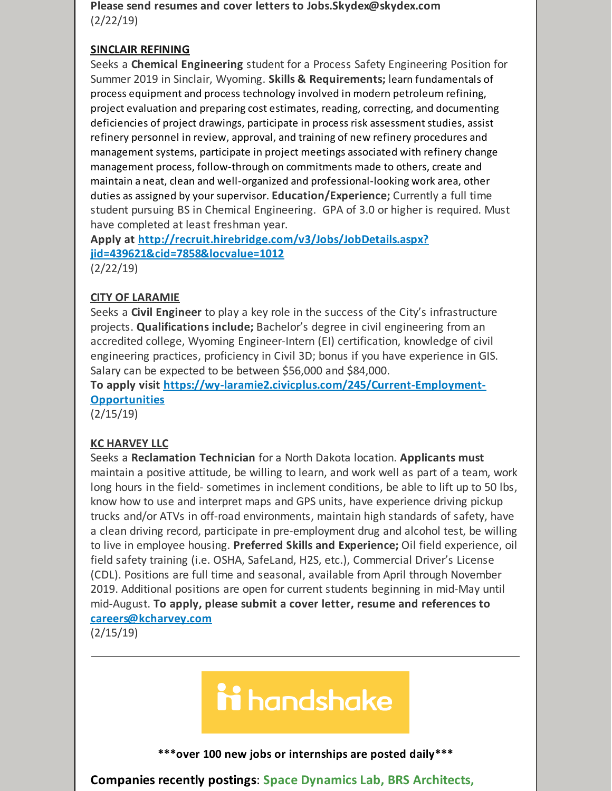**Please send resumes and cover letters to Jobs.Skydex@skydex.com** (2/22/19)

#### **SINCLAIR [REFINING](mailto:Jobs.Skydex@skydex.com)**

Seeks a **Chemical Engineering** student for a Process Safety Engineering Position for Summer 2019 in Sinclair, Wyoming. **Skills & Requirements;** learn fundamentals of process equipment and process technology involved in modern petroleum refining, project evaluation and preparing cost estimates, reading, correcting, and documenting deficiencies of project drawings, participate in process risk assessment studies, assist refinery personnel in review, approval, and training of new refinery procedures and management systems, participate in project meetings associated with refinery change management process, follow-through on commitments made to others, create and maintain a neat, clean and well-organized and professional-looking work area, other duties as assigned by yoursupervisor. **Education/Experience;** Currently a full time student pursuing BS in Chemical Engineering. GPA of 3.0 or higher is required. Must have completed at least freshman year.

**Apply at [http://recruit.hirebridge.com/v3/Jobs/JobDetails.aspx?](http://recruit.hirebridge.com/v3/Jobs/JobDetails.aspx?jid=439621&cid=7858&locvalue=1012) jid=439621&cid=7858&locvalue=1012**

(2/22/19)

#### **CITY OF LARAMIE**

Seeks a **Civil Engineer** to play a key role in the success of the City's infrastructure projects. **Qualifications include;** Bachelor's degree in civil engineering from an accredited college, Wyoming Engineer-Intern (EI) certification, knowledge of civil engineering practices, proficiency in Civil 3D; bonus if you have experience in GIS. Salary can be expected to be between \$56,000 and \$84,000.

**To apply visit [https://wy-laramie2.civicplus.com/245/Current-Employment-](https://wy-laramie2.civicplus.com/245/Current-Employment-Opportunities)Opportunities**

(2/15/19)

#### **KC HARVEY LLC**

Seeks a **Reclamation Technician** for a North Dakota location. **Applicants must** maintain a positive attitude, be willing to learn, and work well as part of a team, work long hours in the field- sometimes in inclement conditions, be able to lift up to 50 lbs, know how to use and interpret maps and GPS units, have experience driving pickup trucks and/or ATVs in off-road environments, maintain high standards of safety, have a clean driving record, participate in pre-employment drug and alcohol test, be willing to live in employee housing. **Preferred Skills and Experience;** Oil field experience, oil field safety training (i.e. OSHA, SafeLand, H2S, etc.), Commercial Driver's License (CDL). Positions are full time and seasonal, available from April through November 2019. Additional positions are open for current students beginning in mid-May until mid-August. **To apply, please submit a cover letter, resume and references to [careers@kcharvey.com](mailto:careers@kcharvey.com)**

(2/15/19)

# ii handshake

**\*\*\*over 100 new jobs or internships are posted daily\*\*\***

**Companies recently postings**: **Space Dynamics Lab, BRS Architects,**